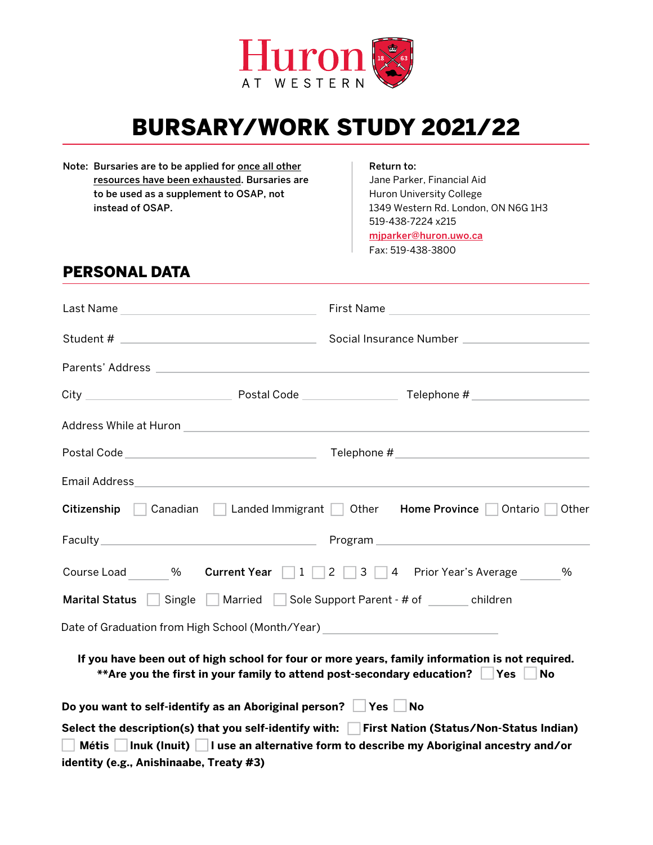

# BURSARY/WORK STUDY 2021/22

Note: Bursaries are to be applied for once all other resources have been exhausted. Bursaries are to be used as a supplement to OSAP, not instead of OSAP.

#### Return to:

Jane Parker, Financial Aid Huron University College 1349 Western Rd. London, ON N6G 1H3 519-438-7224 x215 [mjparker@huron.uwo.ca](mailto:mjparker%40huron.uwo.ca?subject=)

Fax: 519-438-3800

## PERSONAL DATA

| Email Address and the contract of the contract of the contract of the contract of the contract of the contract of                                                                                 |  |                                                                                                                                      |  |  |  |
|---------------------------------------------------------------------------------------------------------------------------------------------------------------------------------------------------|--|--------------------------------------------------------------------------------------------------------------------------------------|--|--|--|
| Citizenship Canadian Landed Immigrant                                                                                                                                                             |  | <b>Home Province</b><br>Other<br>Ontario<br>Other                                                                                    |  |  |  |
|                                                                                                                                                                                                   |  |                                                                                                                                      |  |  |  |
| Course Load %                                                                                                                                                                                     |  | <b>Current Year</b> $\begin{array}{ c c c c c c }\n\hline\n1 & 2 & 3 & 4 & \text{Prior Year's Average}\n\hline\n\end{array}$<br>$\%$ |  |  |  |
| Single Married Sole Support Parent - # of children<br><b>Marital Status</b>                                                                                                                       |  |                                                                                                                                      |  |  |  |
|                                                                                                                                                                                                   |  |                                                                                                                                      |  |  |  |
| If you have been out of high school for four or more years, family information is not required.<br>**Are you the first in your family to attend post-secondary education? Yes<br>No               |  |                                                                                                                                      |  |  |  |
| Do you want to self-identify as an Aboriginal person? $\Box$ Yes $\Box$ No                                                                                                                        |  |                                                                                                                                      |  |  |  |
| Select the description(s) that you self-identify with: First Nation (Status/Non-Status Indian)<br>Métis  <br>Inuk (Inuit)     I use an alternative form to describe my Aboriginal ancestry and/or |  |                                                                                                                                      |  |  |  |
| identity (e.g., Anishinaabe, Treaty #3)                                                                                                                                                           |  |                                                                                                                                      |  |  |  |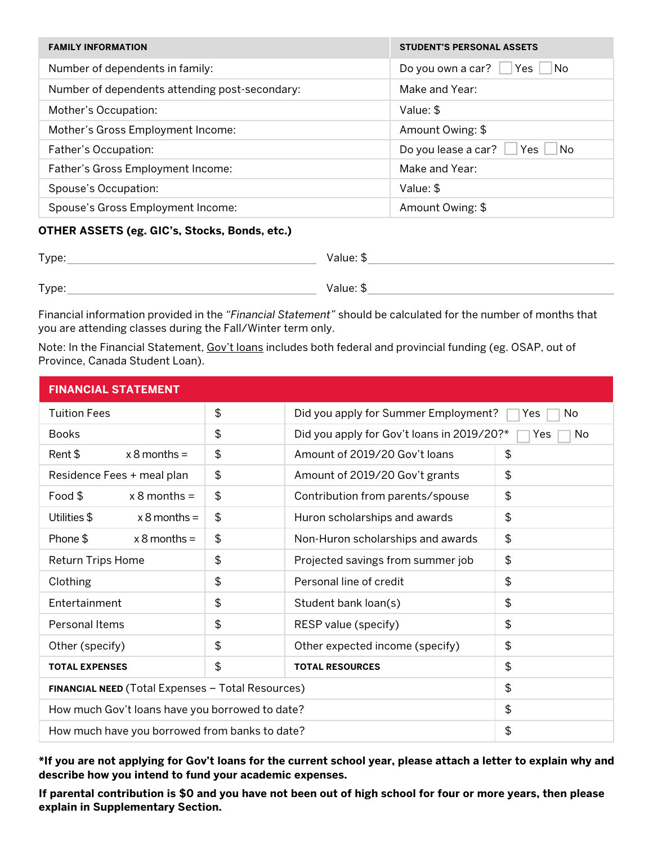| <b>FAMILY INFORMATION</b>                      | <b>STUDENT'S PERSONAL ASSETS</b>             |
|------------------------------------------------|----------------------------------------------|
| Number of dependents in family:                | Do you own a car? $\Box$ Yes $\Box$<br>∣ ∣No |
| Number of dependents attending post-secondary: | Make and Year:                               |
| Mother's Occupation:                           | Value: \$                                    |
| Mother's Gross Employment Income:              | Amount Owing: \$                             |
| Father's Occupation:                           | Do you lease a car?<br>∣No<br>Yes            |
| Father's Gross Employment Income:              | Make and Year:                               |
| Spouse's Occupation:                           | Value: \$                                    |
| Spouse's Gross Employment Income:              | Amount Owing: \$                             |

#### **OTHER ASSETS (eg. GIC's, Stocks, Bonds, etc.)**

| Type: | Value: \$ |
|-------|-----------|
| Type: | Value: \$ |

Financial information provided in the *"Financial Statement"* should be calculated for the number of months that you are attending classes during the Fall/Winter term only.

Note: In the Financial Statement, Gov't loans includes both federal and provincial funding (eg. OSAP, out of Province, Canada Student Loan).

| <b>FINANCIAL STATEMENT</b>                        |    |                                                                |               |  |  |
|---------------------------------------------------|----|----------------------------------------------------------------|---------------|--|--|
| <b>Tuition Fees</b>                               | \$ | Did you apply for Summer Employment?<br>No<br>Yes              |               |  |  |
| <b>Books</b>                                      | \$ | Did you apply for Gov't loans in 2019/20?*<br>No<br><b>Yes</b> |               |  |  |
| Rent \$<br>$x 8$ months =                         | \$ | Amount of 2019/20 Gov't loans                                  | \$            |  |  |
| Residence Fees + meal plan                        | \$ | Amount of 2019/20 Gov't grants                                 | \$            |  |  |
| Food \$<br>$x 8$ months =                         | \$ | Contribution from parents/spouse                               | \$            |  |  |
| Utilities \$<br>$x 8$ months =                    | \$ | Huron scholarships and awards                                  | \$            |  |  |
| Phone \$<br>$x 8$ months =                        | \$ | Non-Huron scholarships and awards                              | \$            |  |  |
| <b>Return Trips Home</b>                          | \$ | Projected savings from summer job                              | \$            |  |  |
| Clothing                                          | \$ | Personal line of credit                                        | $\frac{1}{2}$ |  |  |
| Entertainment                                     | \$ | Student bank loan(s)                                           | \$            |  |  |
| <b>Personal Items</b>                             | \$ | RESP value (specify)                                           | \$            |  |  |
| Other (specify)                                   | \$ | Other expected income (specify)                                | \$            |  |  |
| <b>TOTAL EXPENSES</b>                             | \$ | <b>TOTAL RESOURCES</b>                                         | \$            |  |  |
| FINANCIAL NEED (Total Expenses - Total Resources) |    |                                                                | $\frac{1}{2}$ |  |  |
| How much Gov't loans have you borrowed to date?   |    |                                                                | \$            |  |  |
| How much have you borrowed from banks to date?    |    |                                                                | \$            |  |  |

**\*If you are not applying for Gov't loans for the current school year, please attach a letter to explain why and describe how you intend to fund your academic expenses.**

**If parental contribution is \$0 and you have not been out of high school for four or more years, then please explain in Supplementary Section.**